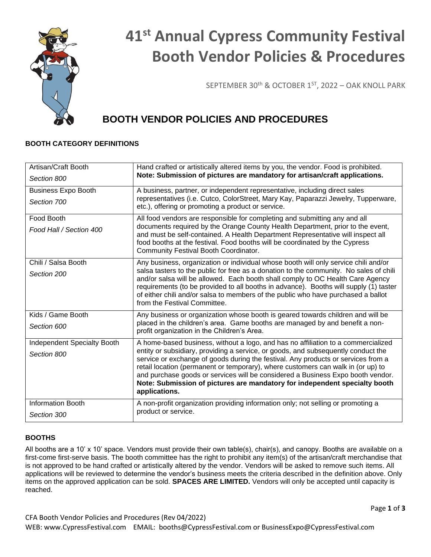

# **41st Annual Cypress Community Festival Booth Vendor Policies & Procedures**

SEPTEMBER 30<sup>th</sup> & OCTOBER 1<sup>ST</sup>, 2022 - OAK KNOLL PARK

# **BOOTH VENDOR POLICIES AND PROCEDURES**

# **BOOTH CATEGORY DEFINITIONS**

| Artisan/Craft Booth                | Hand crafted or artistically altered items by you, the vendor. Food is prohibited.                                                                                                                                                                                                                                                                                                                                                                                                                                                |
|------------------------------------|-----------------------------------------------------------------------------------------------------------------------------------------------------------------------------------------------------------------------------------------------------------------------------------------------------------------------------------------------------------------------------------------------------------------------------------------------------------------------------------------------------------------------------------|
| Section 800                        | Note: Submission of pictures are mandatory for artisan/craft applications.                                                                                                                                                                                                                                                                                                                                                                                                                                                        |
| <b>Business Expo Booth</b>         | A business, partner, or independent representative, including direct sales<br>representatives (i.e. Cutco, ColorStreet, Mary Kay, Paparazzi Jewelry, Tupperware,<br>etc.), offering or promoting a product or service.                                                                                                                                                                                                                                                                                                            |
| Section 700                        |                                                                                                                                                                                                                                                                                                                                                                                                                                                                                                                                   |
| Food Booth                         | All food vendors are responsible for completing and submitting any and all                                                                                                                                                                                                                                                                                                                                                                                                                                                        |
| Food Hall / Section 400            | documents required by the Orange County Health Department, prior to the event,<br>and must be self-contained. A Health Department Representative will inspect all<br>food booths at the festival. Food booths will be coordinated by the Cypress<br>Community Festival Booth Coordinator.                                                                                                                                                                                                                                         |
| Chili / Salsa Booth                | Any business, organization or individual whose booth will only service chili and/or                                                                                                                                                                                                                                                                                                                                                                                                                                               |
| Section 200                        | salsa tasters to the public for free as a donation to the community. No sales of chili<br>and/or salsa will be allowed. Each booth shall comply to OC Health Care Agency<br>requirements (to be provided to all booths in advance). Booths will supply (1) taster<br>of either chili and/or salsa to members of the public who have purchased a ballot<br>from the Festival Committee.                                                                                                                                            |
| Kids / Game Booth                  | Any business or organization whose booth is geared towards children and will be                                                                                                                                                                                                                                                                                                                                                                                                                                                   |
| Section 600                        | placed in the children's area. Game booths are managed by and benefit a non-<br>profit organization in the Children's Area.                                                                                                                                                                                                                                                                                                                                                                                                       |
| <b>Independent Specialty Booth</b> | A home-based business, without a logo, and has no affiliation to a commercialized<br>entity or subsidiary, providing a service, or goods, and subsequently conduct the<br>service or exchange of goods during the festival. Any products or services from a<br>retail location (permanent or temporary), where customers can walk in (or up) to<br>and purchase goods or services will be considered a Business Expo booth vendor.<br>Note: Submission of pictures are mandatory for independent specialty booth<br>applications. |
| Section 800                        |                                                                                                                                                                                                                                                                                                                                                                                                                                                                                                                                   |
| <b>Information Booth</b>           | A non-profit organization providing information only; not selling or promoting a                                                                                                                                                                                                                                                                                                                                                                                                                                                  |
| Section 300                        | product or service.                                                                                                                                                                                                                                                                                                                                                                                                                                                                                                               |

# **BOOTHS**

All booths are a 10' x 10' space. Vendors must provide their own table(s), chair(s), and canopy. Booths are available on a first-come first-serve basis. The booth committee has the right to prohibit any item(s) of the artisan/craft merchandise that is not approved to be hand crafted or artistically altered by the vendor. Vendors will be asked to remove such items. All applications will be reviewed to determine the vendor's business meets the criteria described in the definition above. Only items on the approved application can be sold. **SPACES ARE LIMITED.** Vendors will only be accepted until capacity is reached.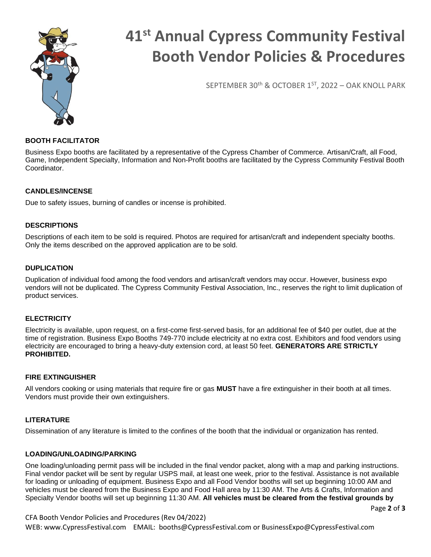

# **41st Annual Cypress Community Festival Booth Vendor Policies & Procedures**

SEPTEMBER 30th & OCTOBER 1ST, 2022 – OAK KNOLL PARK

# **BOOTH FACILITATOR**

Business Expo booths are facilitated by a representative of the Cypress Chamber of Commerce. Artisan/Craft, all Food, Game, Independent Specialty, Information and Non-Profit booths are facilitated by the Cypress Community Festival Booth Coordinator.

# **CANDLES/INCENSE**

Due to safety issues, burning of candles or incense is prohibited.

### **DESCRIPTIONS**

Descriptions of each item to be sold is required. Photos are required for artisan/craft and independent specialty booths. Only the items described on the approved application are to be sold.

### **DUPLICATION**

Duplication of individual food among the food vendors and artisan/craft vendors may occur. However, business expo vendors will not be duplicated. The Cypress Community Festival Association, Inc., reserves the right to limit duplication of product services.

# **ELECTRICITY**

Electricity is available, upon request, on a first-come first-served basis, for an additional fee of \$40 per outlet, due at the time of registration. Business Expo Booths 749-770 include electricity at no extra cost. Exhibitors and food vendors using electricity are encouraged to bring a heavy-duty extension cord, at least 50 feet. **GENERATORS ARE STRICTLY PROHIBITED.**

#### **FIRE EXTINGUISHER**

All vendors cooking or using materials that require fire or gas **MUST** have a fire extinguisher in their booth at all times. Vendors must provide their own extinguishers.

#### **LITERATURE**

Dissemination of any literature is limited to the confines of the booth that the individual or organization has rented.

#### **LOADING/UNLOADING/PARKING**

One loading/unloading permit pass will be included in the final vendor packet, along with a map and parking instructions. Final vendor packet will be sent by regular USPS mail, at least one week, prior to the festival. Assistance is not available for loading or unloading of equipment. Business Expo and all Food Vendor booths will set up beginning 10:00 AM and vehicles must be cleared from the Business Expo and Food Hall area by 11:30 AM. The Arts & Crafts, Information and Specialty Vendor booths will set up beginning 11:30 AM. **All vehicles must be cleared from the festival grounds by** 

Page **2** of **3**

CFA Booth Vendor Policies and Procedures (Rev 04/2022)

WEB: www.CypressFestival.com EMAIL: booths@CypressFestival.com or BusinessExpo@CypressFestival.com